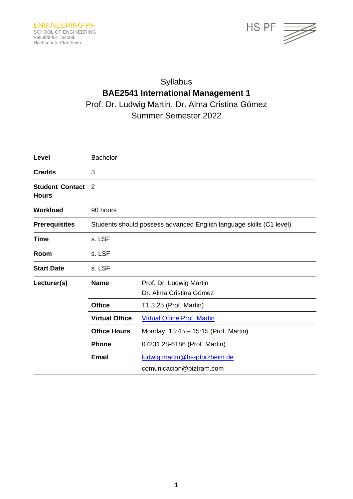

# Syllabus **BAE2541 International Management 1** Prof. Dr. Ludwig Martin, Dr. Alma Cristina Gómez Summer Semester 2022

| Level                                  | <b>Bachelor</b>                                                      |                                                    |
|----------------------------------------|----------------------------------------------------------------------|----------------------------------------------------|
| <b>Credits</b>                         | 3                                                                    |                                                    |
| <b>Student Contact</b><br><b>Hours</b> | 2                                                                    |                                                    |
| <b>Workload</b>                        | 90 hours                                                             |                                                    |
| <b>Prerequisites</b>                   | Students should possess advanced English language skills (C1 level). |                                                    |
| Time                                   | s. LSF                                                               |                                                    |
| Room                                   | s. LSF                                                               |                                                    |
| <b>Start Date</b>                      | s. LSF                                                               |                                                    |
| Lecturer(s)                            | <b>Name</b>                                                          | Prof. Dr. Ludwig Martin<br>Dr. Alma Cristina Gómez |
|                                        | <b>Office</b>                                                        | T1.3.25 (Prof. Martin)                             |
|                                        | <b>Virtual Office</b>                                                | <b>Virtual Office Prof. Martin</b>                 |
|                                        | <b>Office Hours</b>                                                  | Monday, 13:45 - 15:15 (Prof. Martin)               |
|                                        | <b>Phone</b>                                                         | 07231 28-6186 (Prof. Martin)                       |
|                                        | <b>Email</b>                                                         | ludwig.martin@hs-pforzheim.de                      |
|                                        |                                                                      | comunicacion@biztram.com                           |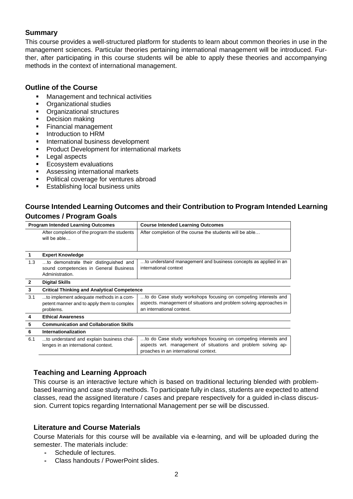# **Summary**

This course provides a well-structured platform for students to learn about common theories in use in the management sciences. Particular theories pertaining international management will be introduced. Further, after participating in this course students will be able to apply these theories and accompanying methods in the context of international management.

## **Outline of the Course**

- Management and technical activities
- Organizational studies
- Organizational structures
- Decision making
- **Financial management**
- **■** Introduction to HRM
- International business development
- Product Development for international markets
- Legal aspects
- Ecosystem evaluations
- Assessing international markets
- Political coverage for ventures abroad
- **Establishing local business units**

# **Course Intended Learning Outcomes and their Contribution to Program Intended Learning Outcomes / Program Goals**

|                | <b>Program Intended Learning Outcomes</b>                                                           | <b>Course Intended Learning Outcomes</b>                                                                                                                                 |  |
|----------------|-----------------------------------------------------------------------------------------------------|--------------------------------------------------------------------------------------------------------------------------------------------------------------------------|--|
|                | After completion of the program the students<br>will be able                                        | After completion of the course the students will be able                                                                                                                 |  |
| $\mathbf{1}$   | <b>Expert Knowledge</b>                                                                             |                                                                                                                                                                          |  |
| 1.3            | to demonstrate their distinguished and<br>sound competencies in General Business<br>Administration. | to understand management and business concepts as applied in an<br>international context                                                                                 |  |
| $\overline{2}$ | <b>Digital Skills</b>                                                                               |                                                                                                                                                                          |  |
| 3              | <b>Critical Thinking and Analytical Competence</b>                                                  |                                                                                                                                                                          |  |
| 3.1            | to implement adequate methods in a com-<br>petent manner and to apply them to complex<br>problems.  | to do Case study workshops focusing on competing interests and<br>aspects. management of situations and problem solving approaches in<br>an international context.       |  |
| 4              | <b>Ethical Awareness</b>                                                                            |                                                                                                                                                                          |  |
| 5              | <b>Communication and Collaboration Skills</b>                                                       |                                                                                                                                                                          |  |
| 6              | <b>Internationalization</b>                                                                         |                                                                                                                                                                          |  |
| 6.1            | to understand and explain business chal-<br>lenges in an international context.                     | to do Case study workshops focusing on competing interests and<br>aspects wrt. management of situations and problem solving ap-<br>proaches in an international context. |  |

## **Teaching and Learning Approach**

This course is an interactive lecture which is based on traditional lecturing blended with problembased learning and case study methods. To participate fully in class, students are expected to attend classes, read the assigned literature / cases and prepare respectively for a guided in-class discussion. Current topics regarding International Management per se will be discussed.

## **Literature and Course Materials**

Course Materials for this course will be available via e-learning, and will be uploaded during the semester. The materials include:

- **-** Schedule of lectures.
- **-** Class handouts / PowerPoint slides.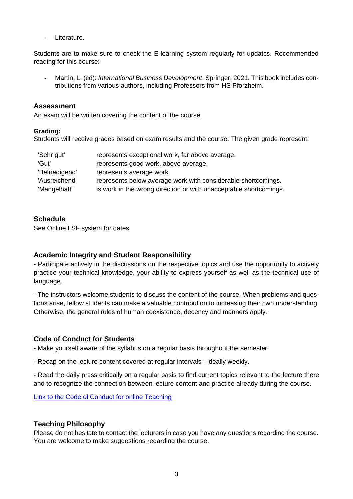**-** Literature.

Students are to make sure to check the E-learning system regularly for updates. Recommended reading for this course:

**-** Martin, L. (ed): *International Business Development*. Springer, 2021. This book includes contributions from various authors, including Professors from HS Pforzheim.

#### **Assessment**

An exam will be written covering the content of the course.

#### **Grading:**

Students will receive grades based on exam results and the course. The given grade represent:

| 'Sehr gut'     | represents exceptional work, far above average.                   |  |
|----------------|-------------------------------------------------------------------|--|
| 'Gut'          | represents good work, above average.                              |  |
| 'Befriedigend' | represents average work.                                          |  |
| 'Ausreichend'  | represents below average work with considerable shortcomings.     |  |
| 'Mangelhaft'   | is work in the wrong direction or with unacceptable shortcomings. |  |

#### **Schedule**

See Online LSF system for dates.

#### **Academic Integrity and Student Responsibility**

- Participate actively in the discussions on the respective topics and use the opportunity to actively practice your technical knowledge, your ability to express yourself as well as the technical use of language.

- The instructors welcome students to discuss the content of the course. When problems and questions arise, fellow students can make a valuable contribution to increasing their own understanding. Otherwise, the general rules of human coexistence, decency and manners apply.

## **Code of Conduct for Students**

- Make yourself aware of the syllabus on a regular basis throughout the semester

- Recap on the lecture content covered at regular intervals - ideally weekly.

- Read the daily press critically on a regular basis to find current topics relevant to the lecture there and to recognize the connection between lecture content and practice already during the course.

[Link to the Code of Conduct for online Teaching](https://e-campus.hs-pforzheim.de/business_pf/digital_learning_tools_links)

#### **Teaching Philosophy**

Please do not hesitate to contact the lecturers in case you have any questions regarding the course. You are welcome to make suggestions regarding the course.